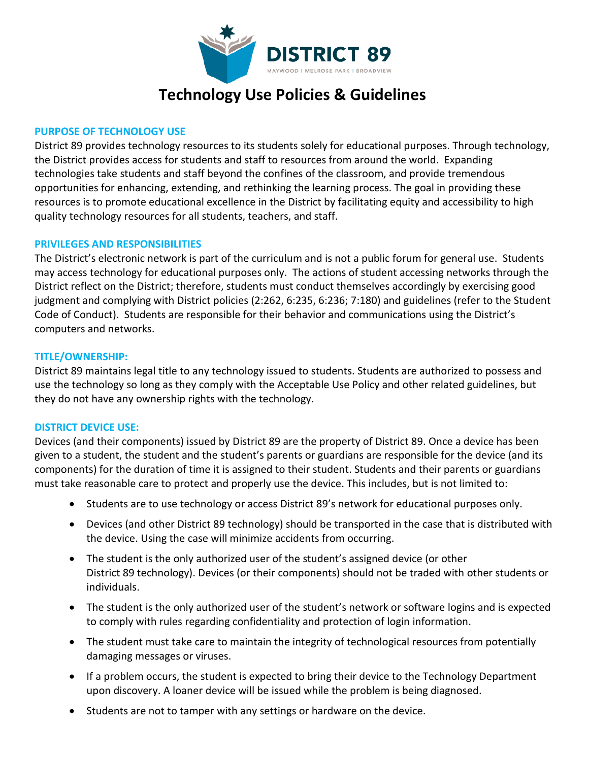

### **Technology Use Policies & Guidelines**

#### **PURPOSE OF TECHNOLOGY USE**

District 89 provides technology resources to its students solely for educational purposes. Through technology, the District provides access for students and staff to resources from around the world. Expanding technologies take students and staff beyond the confines of the classroom, and provide tremendous opportunities for enhancing, extending, and rethinking the learning process. The goal in providing these resources is to promote educational excellence in the District by facilitating equity and accessibility to high quality technology resources for all students, teachers, and staff.

#### **PRIVILEGES AND RESPONSIBILITIES**

The District's electronic network is part of the curriculum and is not a public forum for general use. Students may access technology for educational purposes only. The actions of student accessing networks through the District reflect on the District; therefore, students must conduct themselves accordingly by exercising good judgment and complying with District policies (2:262, 6:235, 6:236; 7:180) and guidelines (refer to the Student Code of Conduct). Students are responsible for their behavior and communications using the District's computers and networks.

#### **TITLE/OWNERSHIP:**

District 89 maintains legal title to any technology issued to students. Students are authorized to possess and use the technology so long as they comply with the Acceptable Use Policy and other related guidelines, but they do not have any ownership rights with the technology.

#### **DISTRICT DEVICE USE:**

Devices (and their components) issued by District 89 are the property of District 89. Once a device has been given to a student, the student and the student's parents or guardians are responsible for the device (and its components) for the duration of time it is assigned to their student. Students and their parents or guardians must take reasonable care to protect and properly use the device. This includes, but is not limited to:

- Students are to use technology or access District 89's network for educational purposes only.
- Devices (and other District 89 technology) should be transported in the case that is distributed with the device. Using the case will minimize accidents from occurring.
- The student is the only authorized user of the student's assigned device (or other District 89 technology). Devices (or their components) should not be traded with other students or individuals.
- The student is the only authorized user of the student's network or software logins and is expected to comply with rules regarding confidentiality and protection of login information.
- The student must take care to maintain the integrity of technological resources from potentially damaging messages or viruses.
- If a problem occurs, the student is expected to bring their device to the Technology Department upon discovery. A loaner device will be issued while the problem is being diagnosed.
- Students are not to tamper with any settings or hardware on the device.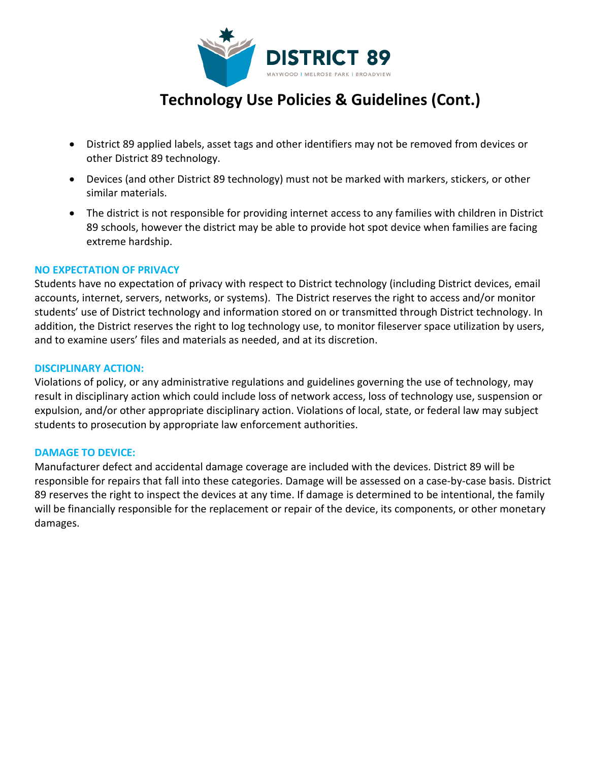

## **Technology Use Policies & Guidelines (Cont.)**

- District 89 applied labels, asset tags and other identifiers may not be removed from devices or other District 89 technology.
- Devices (and other District 89 technology) must not be marked with markers, stickers, or other similar materials.
- The district is not responsible for providing internet access to any families with children in District 89 schools, however the district may be able to provide hot spot device when families are facing extreme hardship.

#### **NO EXPECTATION OF PRIVACY**

Students have no expectation of privacy with respect to District technology (including District devices, email accounts, internet, servers, networks, or systems). The District reserves the right to access and/or monitor students' use of District technology and information stored on or transmitted through District technology. In addition, the District reserves the right to log technology use, to monitor fileserver space utilization by users, and to examine users' files and materials as needed, and at its discretion.

#### **DISCIPLINARY ACTION:**

Violations of policy, or any administrative regulations and guidelines governing the use of technology, may result in disciplinary action which could include loss of network access, loss of technology use, suspension or expulsion, and/or other appropriate disciplinary action. Violations of local, state, or federal law may subject students to prosecution by appropriate law enforcement authorities.

#### **DAMAGE TO DEVICE:**

Manufacturer defect and accidental damage coverage are included with the devices. District 89 will be responsible for repairs that fall into these categories. Damage will be assessed on a case-by-case basis. District 89 reserves the right to inspect the devices at any time. If damage is determined to be intentional, the family will be financially responsible for the replacement or repair of the device, its components, or other monetary damages.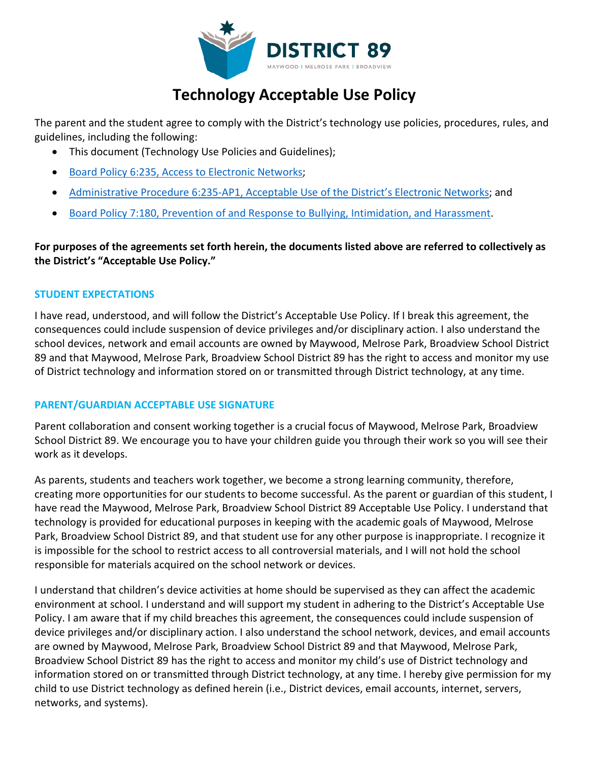

# **Technology Acceptable Use Policy**

The parent and the student agree to comply with the District's technology use policies, procedures, rules, and guidelines, including the following:

- This document (Technology Use Policies and Guidelines);
- [Board Policy 6:235, Access to Electronic Networks;](https://boardpolicyonline.com/?b=maywood_89&s=93908)
- [Administrative Procedure 6:235-AP1, Acceptable Use of the District's Electronic Networks;](https://boardpolicyonline.com/?b=maywood_89&s=93909) and
- [Board Policy 7:180, Prevention of and Response to Bullying, Intimidation, and Harassment.](https://boardpolicyonline.com/?b=maywood_89&s=93909)

**For purposes of the agreements set forth herein, the documents listed above are referred to collectively as the District's "Acceptable Use Policy."**

#### **STUDENT EXPECTATIONS**

I have read, understood, and will follow the District's Acceptable Use Policy. If I break this agreement, the consequences could include suspension of device privileges and/or disciplinary action. I also understand the school devices, network and email accounts are owned by Maywood, Melrose Park, Broadview School District 89 and that Maywood, Melrose Park, Broadview School District 89 has the right to access and monitor my use of District technology and information stored on or transmitted through District technology, at any time.

#### **PARENT/GUARDIAN ACCEPTABLE USE SIGNATURE**

Parent collaboration and consent working together is a crucial focus of Maywood, Melrose Park, Broadview School District 89. We encourage you to have your children guide you through their work so you will see their work as it develops.

As parents, students and teachers work together, we become a strong learning community, therefore, creating more opportunities for our students to become successful. As the parent or guardian of this student, I have read the Maywood, Melrose Park, Broadview School District 89 Acceptable Use Policy. I understand that technology is provided for educational purposes in keeping with the academic goals of Maywood, Melrose Park, Broadview School District 89, and that student use for any other purpose is inappropriate. I recognize it is impossible for the school to restrict access to all controversial materials, and I will not hold the school responsible for materials acquired on the school network or devices.

I understand that children's device activities at home should be supervised as they can affect the academic environment at school. I understand and will support my student in adhering to the District's Acceptable Use Policy. I am aware that if my child breaches this agreement, the consequences could include suspension of device privileges and/or disciplinary action. I also understand the school network, devices, and email accounts are owned by Maywood, Melrose Park, Broadview School District 89 and that Maywood, Melrose Park, Broadview School District 89 has the right to access and monitor my child's use of District technology and information stored on or transmitted through District technology, at any time. I hereby give permission for my child to use District technology as defined herein (i.e., District devices, email accounts, internet, servers, networks, and systems).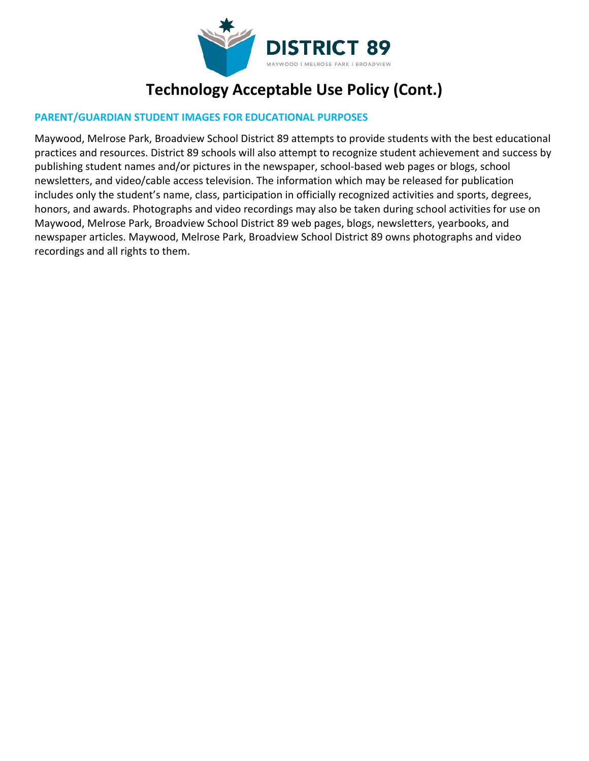

# **Technology Acceptable Use Policy (Cont.)**

#### **PARENT/GUARDIAN STUDENT IMAGES FOR EDUCATIONAL PURPOSES**

Maywood, Melrose Park, Broadview School District 89 attempts to provide students with the best educational practices and resources. District 89 schools will also attempt to recognize student achievement and success by publishing student names and/or pictures in the newspaper, school-based web pages or blogs, school newsletters, and video/cable access television. The information which may be released for publication includes only the student's name, class, participation in officially recognized activities and sports, degrees, honors, and awards. Photographs and video recordings may also be taken during school activities for use on Maywood, Melrose Park, Broadview School District 89 web pages, blogs, newsletters, yearbooks, and newspaper articles. Maywood, Melrose Park, Broadview School District 89 owns photographs and video recordings and all rights to them.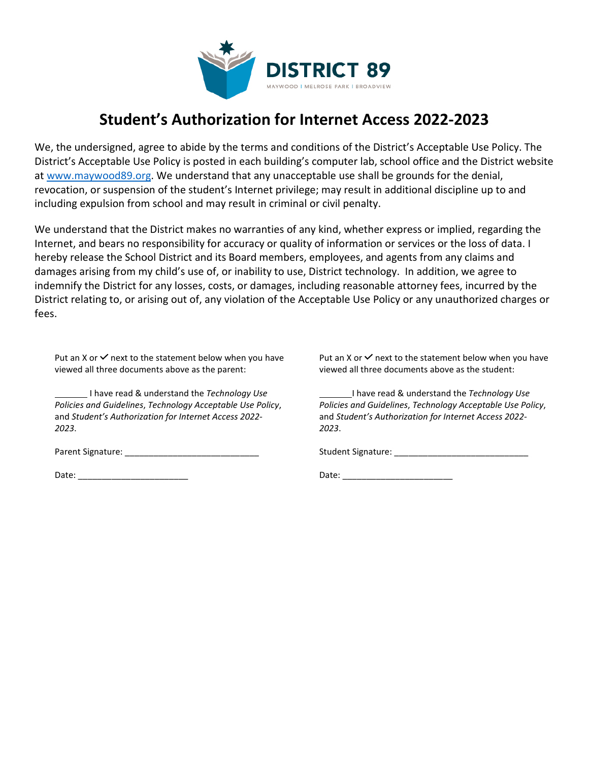

### **Student's Authorization for Internet Access 2022-2023**

We, the undersigned, agree to abide by the terms and conditions of the District's Acceptable Use Policy. The District's Acceptable Use Policy is posted in each building's computer lab, school office and the District website at www.maywood89.org. We understand that any unacceptable use shall be grounds for the denial, revocation, or suspension of the student's Internet privilege; may result in additional discipline up to and including expulsion from school and may result in criminal or civil penalty.

We understand that the District makes no warranties of any kind, whether express or implied, regarding the Internet, and bears no responsibility for accuracy or quality of information or services or the loss of data. I hereby release the School District and its Board members, employees, and agents from any claims and damages arising from my child's use of, or inability to use, District technology. In addition, we agree to indemnify the District for any losses, costs, or damages, including reasonable attorney fees, incurred by the District relating to, or arising out of, any violation of the Acceptable Use Policy or any unauthorized charges or fees.

Put an X or  $\checkmark$  next to the statement below when you have viewed all three documents above as the parent:

 I have read & understand the *Technology Use Policies and Guidelines*, *Technology Acceptable Use Policy*, and *Student's Authorization for Internet Access 2022- 2023*.

Put an X or  $\checkmark$  next to the statement below when you have viewed all three documents above as the student:

 I have read & understand the *Technology Use Policies and Guidelines*, *Technology Acceptable Use Policy*, and *Student's Authorization for Internet Access 2022- 2023*.

Parent Signature: \_\_\_\_\_\_\_\_\_\_\_\_\_\_\_\_\_\_\_\_\_\_\_\_\_\_\_\_

Date: \_\_\_\_\_\_\_\_\_\_\_\_\_\_\_\_\_\_\_\_\_\_\_

Date: \_\_\_\_\_\_\_\_\_\_\_\_\_\_\_\_\_\_\_\_\_\_\_

Student Signature: \_\_\_\_\_\_\_\_\_\_\_\_\_\_\_\_\_\_\_\_\_\_\_\_\_\_\_\_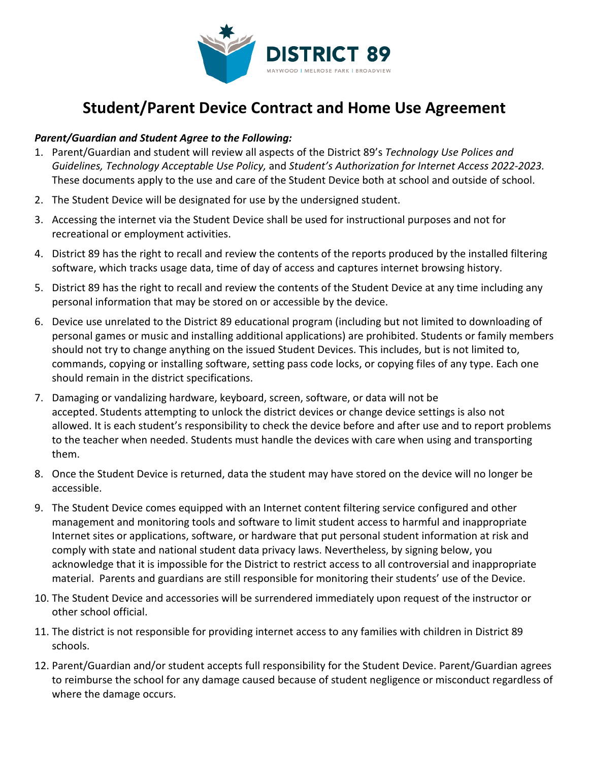

## **Student/Parent Device Contract and Home Use Agreement**

#### *Parent/Guardian and Student Agree to the Following:*

- 1. Parent/Guardian and student will review all aspects of the District 89's *Technology Use Polices and Guidelines, Technology Acceptable Use Policy,* and *Student's Authorization for Internet Access 2022-2023.*  These documents apply to the use and care of the Student Device both at school and outside of school.
- 2. The Student Device will be designated for use by the undersigned student.
- 3. Accessing the internet via the Student Device shall be used for instructional purposes and not for recreational or employment activities.
- 4. District 89 has the right to recall and review the contents of the reports produced by the installed filtering software, which tracks usage data, time of day of access and captures internet browsing history.
- 5. District 89 has the right to recall and review the contents of the Student Device at any time including any personal information that may be stored on or accessible by the device.
- 6. Device use unrelated to the District 89 educational program (including but not limited to downloading of personal games or music and installing additional applications) are prohibited. Students or family members should not try to change anything on the issued Student Devices. This includes, but is not limited to, commands, copying or installing software, setting pass code locks, or copying files of any type. Each one should remain in the district specifications.
- 7. Damaging or vandalizing hardware, keyboard, screen, software, or data will not be accepted. Students attempting to unlock the district devices or change device settings is also not allowed. It is each student's responsibility to check the device before and after use and to report problems to the teacher when needed. Students must handle the devices with care when using and transporting them.
- 8. Once the Student Device is returned, data the student may have stored on the device will no longer be accessible.
- 9. The Student Device comes equipped with an Internet content filtering service configured and other management and monitoring tools and software to limit student access to harmful and inappropriate Internet sites or applications, software, or hardware that put personal student information at risk and comply with state and national student data privacy laws. Nevertheless, by signing below, you acknowledge that it is impossible for the District to restrict access to all controversial and inappropriate material. Parents and guardians are still responsible for monitoring their students' use of the Device.
- 10. The Student Device and accessories will be surrendered immediately upon request of the instructor or other school official.
- 11. The district is not responsible for providing internet access to any families with children in District 89 schools.
- 12. Parent/Guardian and/or student accepts full responsibility for the Student Device. Parent/Guardian agrees to reimburse the school for any damage caused because of student negligence or misconduct regardless of where the damage occurs.